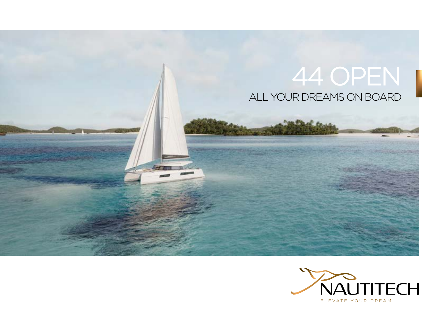

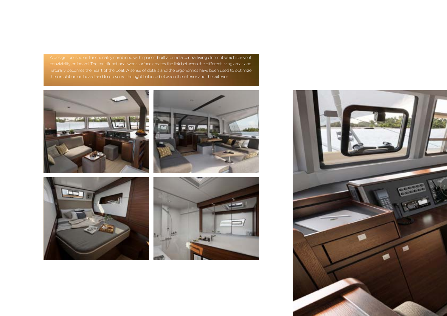A design focused on functionality combined with spaces, built around a central living element which reinvent conviviality on board. The multifunctional work surface creates the link between the different living areas and naturally becomes the heart of the boat. A sense of details and the ergonomics have been used to optimize the circulation on board and to preserve the right balance between the interior and the exterior.









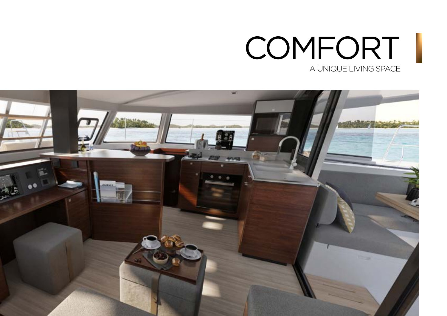### COMFORT | A UNIQUE LIVING SPACE

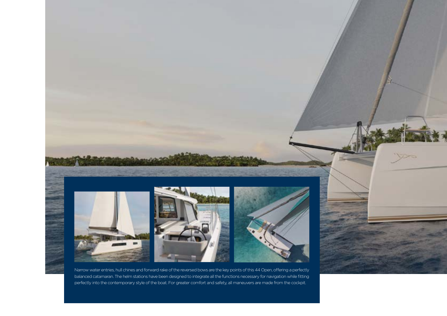

balanced catamaran. The helm stations have been designed to integrate all the functions necessary for navigation while fitting perfectly into the contemporary style of the boat. For greater comfort and safety, all maneuvers are made from the cockpit.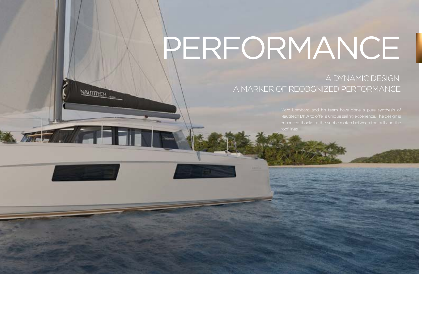## PERFORMANCE

**NAUTITECH** 

A DYNAMIC DESIGN, A MARKER OF RECOGNIZED PERFORMANCE

Nautitech DNA to offer a unique sailing experience. The design is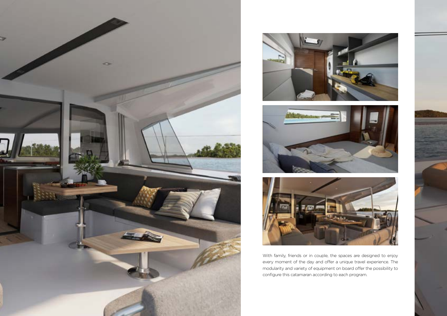







With family, friends or in couple, the spaces are designed to enjoy every moment of the day and offer a unique travel experience. The modularity and variety of equipment on board offer the possibility to configure this catamaran according to each program.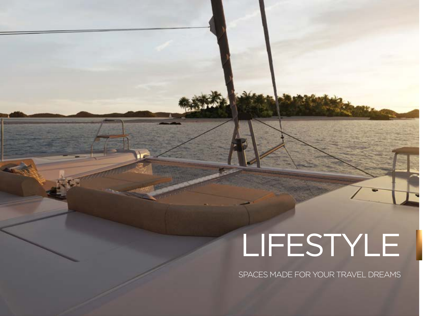# LIFESTYLE

SPACES MADE FOR YOUR TRAVEL DREAMS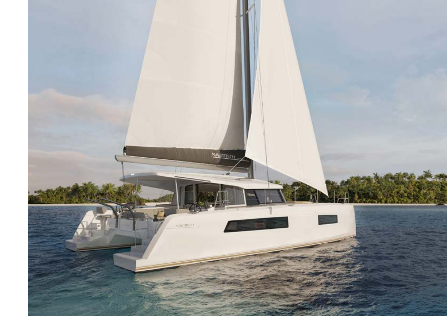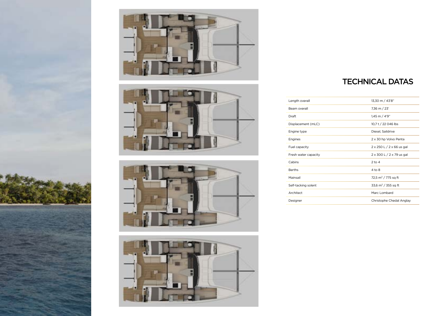









### TECHNICAL DATAS

| Length overall       | 13,30 m / 43'8"                    |
|----------------------|------------------------------------|
| Beam overall         | 7,36 m / 23'                       |
| Draft                | 1,45 m / 4'9"                      |
| Displacement (mLC)   | 10,7 t / 22 046 lbs                |
| Engine type          | Diesel, Saildrive                  |
| Engines              | 2 x 30 hp Volvo Penta              |
| Fuel capacity        | $2 \times 250$ L $/$ 2 x 66 us gal |
|                      |                                    |
| Fresh water capacity | 2 x 300 L / 2 x 79 us gal          |
| Cabins               | $2$ to $4$                         |
| <b>Berths</b>        | $4$ to $8$                         |
| Mainsail             | 72,5 $m^2$ / 775 sq ft             |
| Self-tacking solent  | 33,6 $m^2/$ 355 sq ft              |
| Architect            | Marc Lombard                       |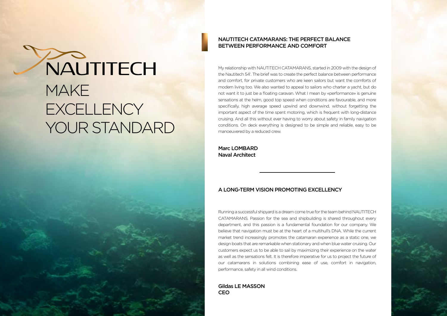## NAUTITECH MAKE **EXCELLENCY** YOUR STANDARD

#### NAUTITECH CATAMARANS: THE PERFECT BALANCE BETWEEN PERFORMANCE AND COMFORT

My relationship with NAUTITECH CATAMARANS, started in 2009 with the design of the Nautitech 54'. The brief was to create the perfect balance between performance and comfort, for private customers who are keen sailors but want the comforts of modern living too. We also wanted to appeal to sailors who charter a yacht, but do not want it to just be a floating caravan. What I mean by «performance» is genuine sensations at the helm, good top speed when conditions are favourable, and more specifically, high average speed upwind and downwind, without forgetting the important aspect of the time spent motoring, which is frequent with long-distance cruising. And all this without ever having to worry about safety in family navigation conditions. On deck everything is designed to be simple and reliable, easy to be manoeuvered by a reduced crew.

### Marc LOMBARD Naval Architect

### A LONG-TERM VISION PROMOTING EXCELLENCY

Running a successful shipyard is a dream come true for the team behind NAUTITECH CATAMARANS. Passion for the sea and shipbuilding is shared throughout every department, and this passion is a fundamental foundation for our company. We believe that navigation must be at the heart of a multihull's DNA. While the current market trend increasingly promotes the catamaran experience as a static one, we design boats that are remarkable when stationary and when blue water cruising. Our customers expect us to be able to sail by maximizing their experience on the water as well as the sensations felt. It is therefore imperative for us to project the future of our catamarans in solutions combining ease of use, comfort in navigation, performance, safety in all wind conditions.

Gildas LE MASSON CEO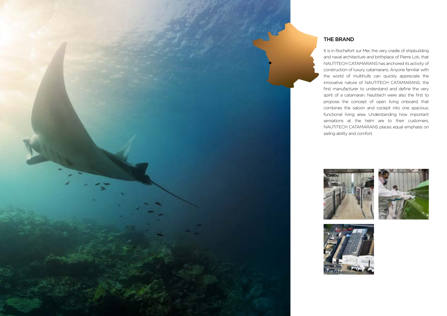

### THE BRAND

It is in Rochefort sur Mer, the very cradle of shipbuilding and naval architecture and birthplace of Pierre Loti, that NAUTITECH CATAMARANS has anchored its activity of construction of luxury catamarans. Anyone familiar with the world of multihulls can quickly appreciate the innovative nature of NAUTITECH CATAMARANS, the first manufacturer to understand and define the very spirit of a catamaran. Nautitech were also the first to propose the concept of open living onboard, that combines the saloon and cockpit into one spacious, functional living area. Understanding how important sensations at the helm are to their customers, NAUTITECH CATAMARANS places equal emphasis on sailing ability and comfort.